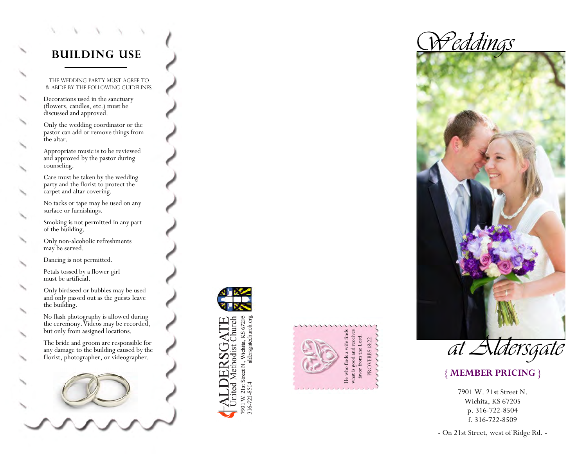## **BUILDING USE**

The wedding party must agree to & abide by the following guidelines.

Decorations used in the sanctuary (flowers, candles, etc.) must be discussed and approved.

Only the wedding coordinator or the pastor can add or remove things from the altar.

Appropriate music is to be reviewed and approved by the pastor during counseling.

Care must be taken by the wedding party and the florist to protect the carpet and altar covering.

No tacks or tape may be used on any surface or furnishings.

Smoking is not permitted in any part of the building.

Only non-alcoholic refreshments may be served.

Dancing is not permitted.

Petals tossed by a flower girl must be artificial.

Only birdseed or bubbles may be used and only passed out as the guests leave the building.

No flash photography is allowed during the ceremony. Videos may be recorded, but only from assigned locations.

The bride and groom are responsible for any damage to the building caused by the florist, photographer, or videographer.



 $\frac{1}{7}$ 901 W. 21st Street N., Wichita, KS 67205<br>316-722-8504 aldersgatechurch.org nited Methodist Churci







#### **{ MEMBER PRICING }**

7901 W. 21st Street N. Wichita, KS 67205 p. 316-722-8504 f. 316-722-8509

- On 21st Street, west of Ridge Rd. -